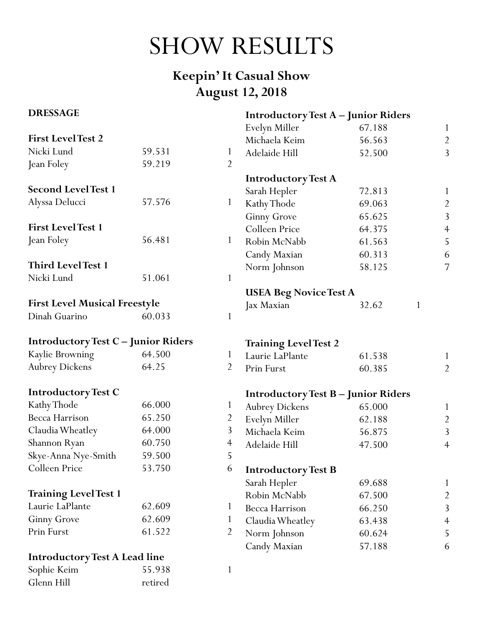# SHOW RESULTS

## **Keepin' It Casual Show August 12, 2018**

#### **DRESSAGE**

| <b>DRESSAGE</b>                            |         |                | <b>Introductory Test A - Junior Riders</b> |        |              |                |
|--------------------------------------------|---------|----------------|--------------------------------------------|--------|--------------|----------------|
|                                            |         |                | Evelyn Miller                              | 67.188 |              | $\mathbf{1}$   |
| <b>First LevelTest 2</b>                   |         |                | Michaela Keim                              | 56.563 |              | $\overline{2}$ |
| Nicki Lund                                 | 59.531  | $\mathbf{1}$   | Adelaide Hill                              | 52.500 |              | 3              |
| Jean Foley                                 | 59.219  | $\overline{2}$ |                                            |        |              |                |
|                                            |         |                | <b>Introductory Test A</b>                 |        |              |                |
| <b>Second LevelTest 1</b>                  |         |                | Sarah Hepler                               | 72.813 |              | $\mathbf{1}$   |
| Alyssa Delucci                             | 57.576  | $\mathbf{1}$   | Kathy Thode                                | 69.063 |              | $\overline{c}$ |
|                                            |         |                | <b>Ginny Grove</b>                         | 65.625 |              | $\overline{3}$ |
| <b>First LevelTest 1</b>                   |         |                | Colleen Price                              | 64.375 |              | $\overline{4}$ |
| Jean Foley                                 | 56.481  | $\mathbf{1}$   | Robin McNabb                               | 61.563 |              | 5              |
|                                            |         |                | Candy Maxian                               | 60.313 |              | 6              |
| <b>Third LevelTest 1</b>                   |         |                | Norm Johnson                               | 58.125 |              | $\overline{7}$ |
| Nicki Lund                                 | 51.061  | $\mathbf{1}$   |                                            |        |              |                |
|                                            |         |                | <b>USEA Beg Novice Test A</b>              |        |              |                |
| <b>First Level Musical Freestyle</b>       |         |                | Jax Maxian                                 | 32.62  | $\mathbf{1}$ |                |
| Dinah Guarino                              | 60.033  | $\mathbf{1}$   |                                            |        |              |                |
| <b>Introductory Test C - Junior Riders</b> |         |                | <b>Training Level Test 2</b>               |        |              |                |
| Kaylie Browning                            | 64.500  | $\mathbf{1}$   | Laurie LaPlante                            | 61.538 |              | $\mathbf{1}$   |
| <b>Aubrey Dickens</b>                      | 64.25   | $\overline{2}$ | Prin Furst                                 | 60.385 |              | $\overline{2}$ |
| <b>Introductory Test C</b>                 |         |                | <b>Introductory Test B - Junior Riders</b> |        |              |                |
| Kathy Thode                                | 66.000  | $\mathbf{1}$   | <b>Aubrey Dickens</b>                      | 65.000 |              | $\mathbf{1}$   |
| Becca Harrison                             | 65.250  | $\overline{2}$ | Evelyn Miller                              | 62.188 |              | $\overline{c}$ |
| Claudia Wheatley                           | 64.000  | 3              | Michaela Keim                              | 56.875 |              | $\overline{3}$ |
| Shannon Ryan                               | 60.750  | $\overline{4}$ | Adelaide Hill                              | 47.500 |              | $\overline{4}$ |
| Skye-Anna Nye-Smith                        | 59.500  | 5              |                                            |        |              |                |
| Colleen Price                              | 53.750  | 6              | <b>Introductory Test B</b>                 |        |              |                |
|                                            |         |                | Sarah Hepler                               | 69.688 |              | $\mathbf{1}$   |
| <b>Training Level Test 1</b>               |         |                | Robin McNabb                               | 67.500 |              | $\overline{2}$ |
| Laurie LaPlante                            | 62.609  | 1              | Becca Harrison                             | 66.250 |              | 3              |
| <b>Ginny Grove</b>                         | 62.609  | $\mathbf{1}$   | Claudia Wheatley                           | 63.438 |              | $\overline{4}$ |
| Prin Furst                                 | 61.522  | $\overline{2}$ | Norm Johnson                               | 60.624 |              | 5              |
|                                            |         |                | Candy Maxian                               | 57.188 |              | 6              |
| <b>Introductory Test A Lead line</b>       |         |                |                                            |        |              |                |
| Sophie Keim                                | 55.938  | 1              |                                            |        |              |                |
| Glenn Hill                                 | retired |                |                                            |        |              |                |